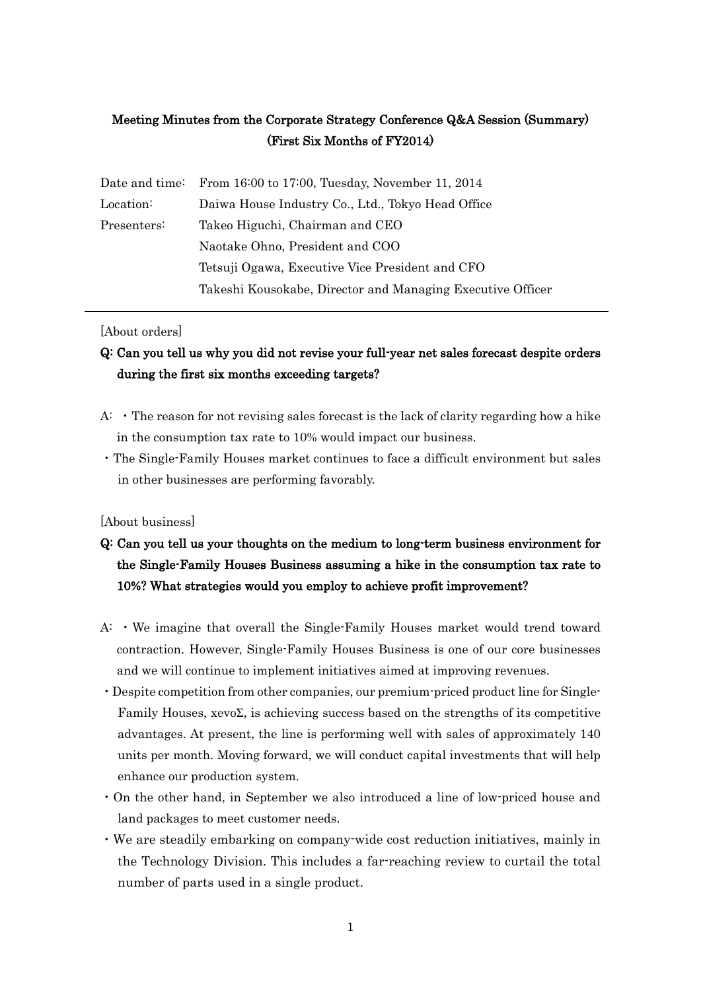## Meeting Minutes from the Corporate Strategy Conference Q&A Session (Summary) (First Six Months of FY2014)

|             | Date and time: From 16:00 to 17:00, Tuesday, November 11, 2014 |
|-------------|----------------------------------------------------------------|
| Location:   | Daiwa House Industry Co., Ltd., Tokyo Head Office              |
| Presenters: | Takeo Higuchi, Chairman and CEO                                |
|             | Naotake Ohno, President and COO                                |
|             | Tetsuji Ogawa, Executive Vice President and CFO                |
|             | Takeshi Kousokabe, Director and Managing Executive Officer     |

#### [About orders]

### Q: Can you tell us why you did not revise your full-year net sales forecast despite orders during the first six months exceeding targets?

- A: ・The reason for not revising sales forecast is the lack of clarity regarding how a hike in the consumption tax rate to 10% would impact our business.
- ・The Single-Family Houses market continues to face a difficult environment but sales in other businesses are performing favorably.

#### [About business]

- Q: Can you tell us your thoughts on the medium to long-term business environment for the Single-Family Houses Business assuming a hike in the consumption tax rate to 10%? What strategies would you employ to achieve profit improvement?
- A: ・We imagine that overall the Single-Family Houses market would trend toward contraction. However, Single-Family Houses Business is one of our core businesses and we will continue to implement initiatives aimed at improving revenues.
- ・Despite competition from other companies, our premium-priced product line for Single-Family Houses, xevoΣ, is achieving success based on the strengths of its competitive advantages. At present, the line is performing well with sales of approximately 140 units per month. Moving forward, we will conduct capital investments that will help enhance our production system.
- ・On the other hand, in September we also introduced a line of low-priced house and land packages to meet customer needs.
- ・We are steadily embarking on company-wide cost reduction initiatives, mainly in the Technology Division. This includes a far-reaching review to curtail the total number of parts used in a single product.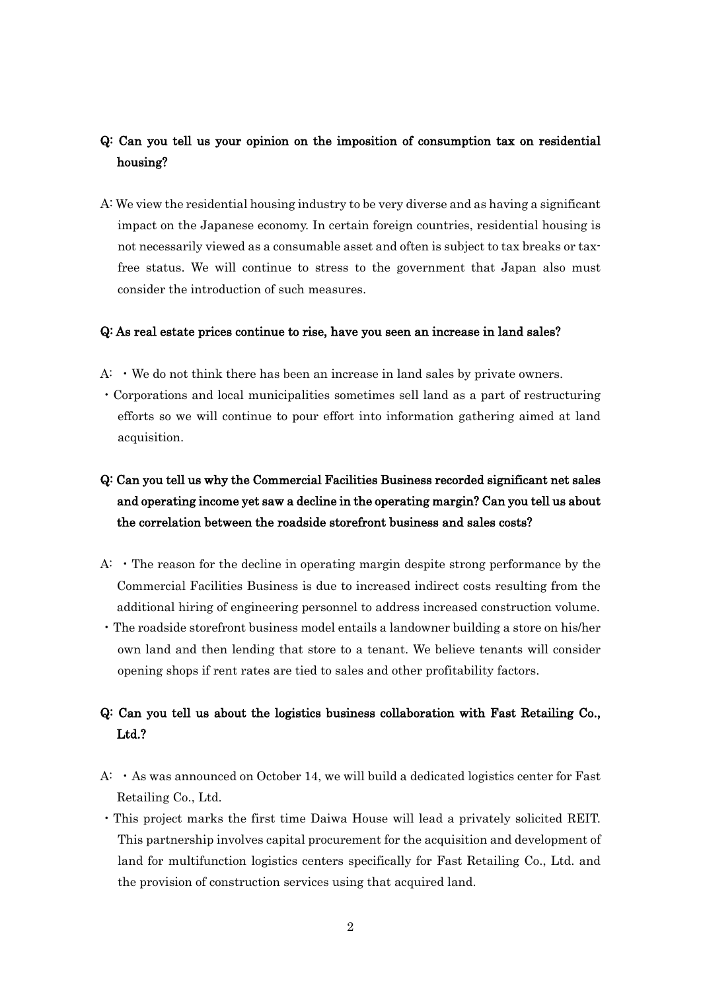#### Q: Can you tell us your opinion on the imposition of consumption tax on residential housing?

A: We view the residential housing industry to be very diverse and as having a significant impact on the Japanese economy. In certain foreign countries, residential housing is not necessarily viewed as a consumable asset and often is subject to tax breaks or taxfree status. We will continue to stress to the government that Japan also must consider the introduction of such measures.

#### Q: As real estate prices continue to rise, have you seen an increase in land sales?

- $A: \cdot$  We do not think there has been an increase in land sales by private owners.
- ・Corporations and local municipalities sometimes sell land as a part of restructuring efforts so we will continue to pour effort into information gathering aimed at land acquisition.

# Q: Can you tell us why the Commercial Facilities Business recorded significant net sales and operating income yet saw a decline in the operating margin? Can you tell us about the correlation between the roadside storefront business and sales costs?

- $A: \cdot$  The reason for the decline in operating margin despite strong performance by the Commercial Facilities Business is due to increased indirect costs resulting from the additional hiring of engineering personnel to address increased construction volume.
- ・The roadside storefront business model entails a landowner building a store on his/her own land and then lending that store to a tenant. We believe tenants will consider opening shops if rent rates are tied to sales and other profitability factors.

### Q: Can you tell us about the logistics business collaboration with Fast Retailing Co., Ltd.?

- A:  $\cdot$  As was announced on October 14, we will build a dedicated logistics center for Fast Retailing Co., Ltd.
- ・This project marks the first time Daiwa House will lead a privately solicited REIT. This partnership involves capital procurement for the acquisition and development of land for multifunction logistics centers specifically for Fast Retailing Co., Ltd. and the provision of construction services using that acquired land.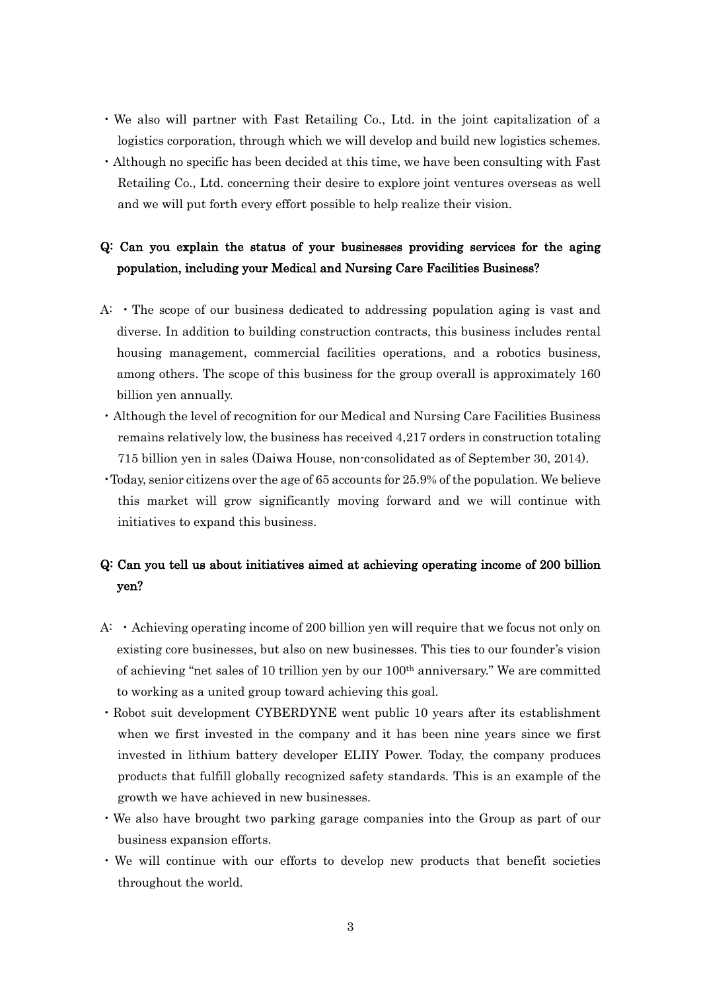- ・We also will partner with Fast Retailing Co., Ltd. in the joint capitalization of a logistics corporation, through which we will develop and build new logistics schemes.
- ・Although no specific has been decided at this time, we have been consulting with Fast Retailing Co., Ltd. concerning their desire to explore joint ventures overseas as well and we will put forth every effort possible to help realize their vision.

### Q: Can you explain the status of your businesses providing services for the aging population, including your Medical and Nursing Care Facilities Business?

- $A: \cdot$  The scope of our business dedicated to addressing population aging is vast and diverse. In addition to building construction contracts, this business includes rental housing management, commercial facilities operations, and a robotics business, among others. The scope of this business for the group overall is approximately 160 billion yen annually.
- ・Although the level of recognition for our Medical and Nursing Care Facilities Business remains relatively low, the business has received 4,217 orders in construction totaling 715 billion yen in sales (Daiwa House, non-consolidated as of September 30, 2014).
- ・Today, senior citizens over the age of 65 accounts for 25.9% of the population. We believe this market will grow significantly moving forward and we will continue with initiatives to expand this business.

### Q: Can you tell us about initiatives aimed at achieving operating income of 200 billion yen?

- A: ・Achieving operating income of 200 billion yen will require that we focus not only on existing core businesses, but also on new businesses. This ties to our founder's vision of achieving "net sales of 10 trillion yen by our 100th anniversary." We are committed to working as a united group toward achieving this goal.
- ・Robot suit development CYBERDYNE went public 10 years after its establishment when we first invested in the company and it has been nine years since we first invested in lithium battery developer ELIIY Power. Today, the company produces products that fulfill globally recognized safety standards. This is an example of the growth we have achieved in new businesses.
- ・We also have brought two parking garage companies into the Group as part of our business expansion efforts.
- ・We will continue with our efforts to develop new products that benefit societies throughout the world.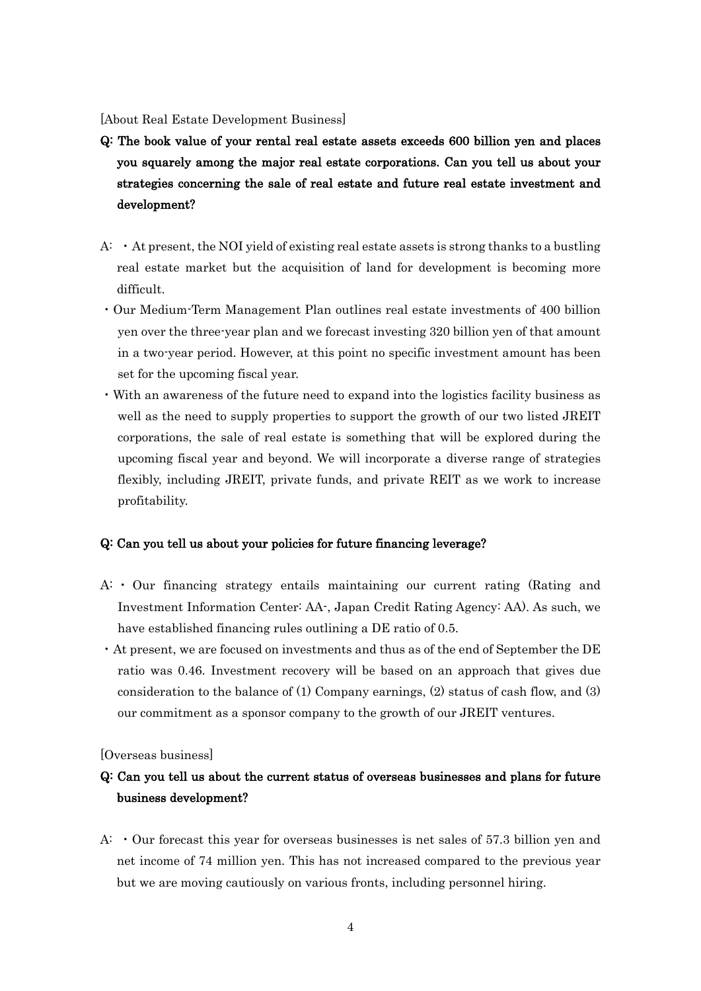[About Real Estate Development Business]

- Q: The book value of your rental real estate assets exceeds 600 billion yen and places you squarely among the major real estate corporations. Can you tell us about your strategies concerning the sale of real estate and future real estate investment and development?
- A: ・At present, the NOI yield of existing real estate assets is strong thanks to a bustling real estate market but the acquisition of land for development is becoming more difficult.
- ・Our Medium-Term Management Plan outlines real estate investments of 400 billion yen over the three-year plan and we forecast investing 320 billion yen of that amount in a two-year period. However, at this point no specific investment amount has been set for the upcoming fiscal year.
- ・With an awareness of the future need to expand into the logistics facility business as well as the need to supply properties to support the growth of our two listed JREIT corporations, the sale of real estate is something that will be explored during the upcoming fiscal year and beyond. We will incorporate a diverse range of strategies flexibly, including JREIT, private funds, and private REIT as we work to increase profitability.

#### Q: Can you tell us about your policies for future financing leverage?

- A: ・ Our financing strategy entails maintaining our current rating (Rating and Investment Information Center: AA-, Japan Credit Rating Agency: AA). As such, we have established financing rules outlining a DE ratio of 0.5.
- ・At present, we are focused on investments and thus as of the end of September the DE ratio was 0.46. Investment recovery will be based on an approach that gives due consideration to the balance of (1) Company earnings, (2) status of cash flow, and (3) our commitment as a sponsor company to the growth of our JREIT ventures.

[Overseas business]

### Q: Can you tell us about the current status of overseas businesses and plans for future business development?

A: ・Our forecast this year for overseas businesses is net sales of 57.3 billion yen and net income of 74 million yen. This has not increased compared to the previous year but we are moving cautiously on various fronts, including personnel hiring.